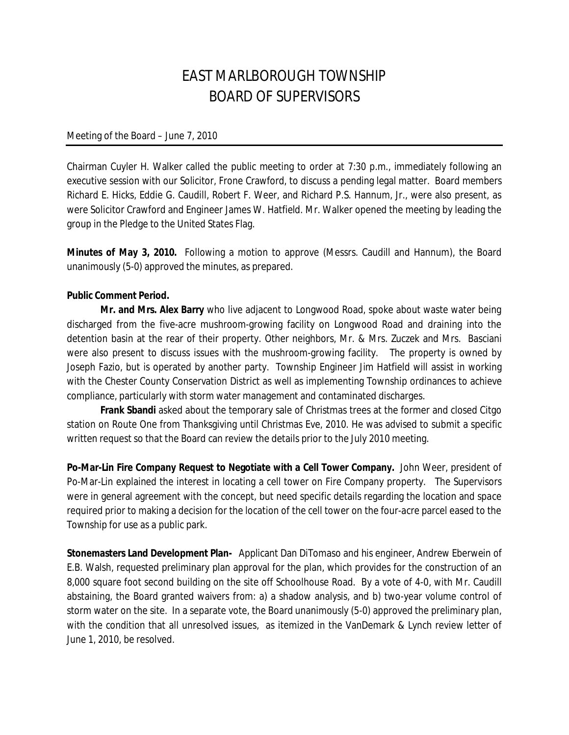## EAST MARLBOROUGH TOWNSHIP BOARD OF SUPERVISORS

## Meeting of the Board – June 7, 2010

Chairman Cuyler H. Walker called the public meeting to order at 7:30 p.m., immediately following an executive session with our Solicitor, Frone Crawford, to discuss a pending legal matter. Board members Richard E. Hicks, Eddie G. Caudill, Robert F. Weer, and Richard P.S. Hannum, Jr., were also present, as were Solicitor Crawford and Engineer James W. Hatfield. Mr. Walker opened the meeting by leading the group in the Pledge to the United States Flag.

**Minutes of May 3, 2010.** Following a motion to approve (Messrs. Caudill and Hannum), the Board unanimously (5-0) approved the minutes, as prepared.

## **Public Comment Period.**

**Mr. and Mrs. Alex Barry** who live adjacent to Longwood Road, spoke about waste water being discharged from the five-acre mushroom-growing facility on Longwood Road and draining into the detention basin at the rear of their property. Other neighbors, Mr. & Mrs. Zuczek and Mrs. Basciani were also present to discuss issues with the mushroom-growing facility. The property is owned by Joseph Fazio, but is operated by another party. Township Engineer Jim Hatfield will assist in working with the Chester County Conservation District as well as implementing Township ordinances to achieve compliance, particularly with storm water management and contaminated discharges.

**Frank Sbandi** asked about the temporary sale of Christmas trees at the former and closed Citgo station on Route One from Thanksgiving until Christmas Eve, 2010. He was advised to submit a specific written request so that the Board can review the details prior to the July 2010 meeting.

**Po-Mar-Lin Fire Company Request to Negotiate with a Cell Tower Company.** John Weer, president of Po-Mar-Lin explained the interest in locating a cell tower on Fire Company property. The Supervisors were in general agreement with the concept, but need specific details regarding the location and space required prior to making a decision for the location of the cell tower on the four-acre parcel eased to the Township for use as a public park.

**Stonemasters Land Development Plan-** Applicant Dan DiTomaso and his engineer, Andrew Eberwein of E.B. Walsh, requested preliminary plan approval for the plan, which provides for the construction of an 8,000 square foot second building on the site off Schoolhouse Road. By a vote of 4-0, with Mr. Caudill abstaining, the Board granted waivers from: a) a shadow analysis, and b) two-year volume control of storm water on the site. In a separate vote, the Board unanimously (5-0) approved the preliminary plan, with the condition that all unresolved issues, as itemized in the VanDemark & Lynch review letter of June 1, 2010, be resolved.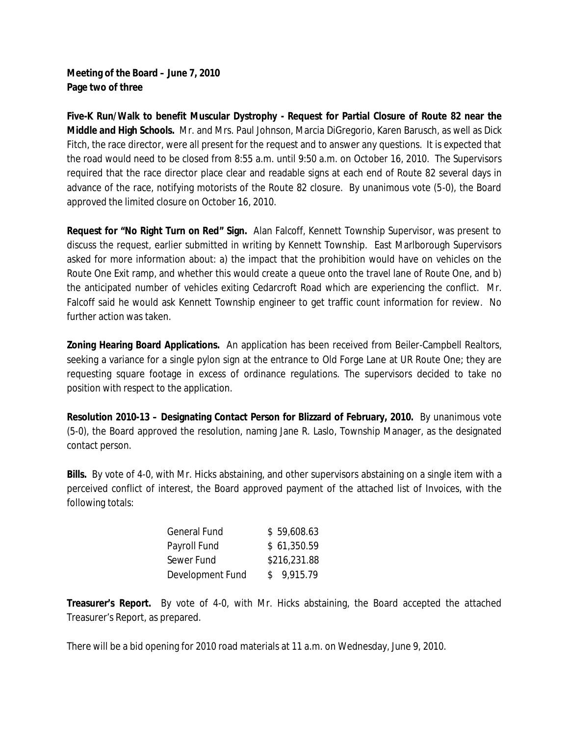**Meeting of the Board – June 7, 2010 Page two of three**

**Five-K Run/Walk to benefit Muscular Dystrophy - Request for Partial Closure of Route 82 near the Middle and High Schools.** Mr. and Mrs. Paul Johnson, Marcia DiGregorio, Karen Barusch, as well as Dick Fitch, the race director, were all present for the request and to answer any questions. It is expected that the road would need to be closed from 8:55 a.m. until 9:50 a.m. on October 16, 2010. The Supervisors required that the race director place clear and readable signs at each end of Route 82 several days in advance of the race, notifying motorists of the Route 82 closure. By unanimous vote (5-0), the Board approved the limited closure on October 16, 2010.

**Request for "No Right Turn on Red" Sign.** Alan Falcoff, Kennett Township Supervisor, was present to discuss the request, earlier submitted in writing by Kennett Township. East Marlborough Supervisors asked for more information about: a) the impact that the prohibition would have on vehicles on the Route One Exit ramp, and whether this would create a queue onto the travel lane of Route One, and b) the anticipated number of vehicles exiting Cedarcroft Road which are experiencing the conflict. Mr. Falcoff said he would ask Kennett Township engineer to get traffic count information for review. No further action was taken.

**Zoning Hearing Board Applications.** An application has been received from Beiler-Campbell Realtors, seeking a variance for a single pylon sign at the entrance to Old Forge Lane at UR Route One; they are requesting square footage in excess of ordinance regulations. The supervisors decided to take no position with respect to the application.

**Resolution 2010-13 – Designating Contact Person for Blizzard of February, 2010.** By unanimous vote (5-0), the Board approved the resolution, naming Jane R. Laslo, Township Manager, as the designated contact person.

**Bills.** By vote of 4-0, with Mr. Hicks abstaining, and other supervisors abstaining on a single item with a perceived conflict of interest, the Board approved payment of the attached list of Invoices, with the following totals:

| <b>General Fund</b> | \$59,608.63  |
|---------------------|--------------|
| Payroll Fund        | \$61,350.59  |
| Sewer Fund          | \$216,231.88 |
| Development Fund    | \$9.915.79   |

**Treasurer's Report.** By vote of 4-0, with Mr. Hicks abstaining, the Board accepted the attached Treasurer's Report, as prepared.

There will be a bid opening for 2010 road materials at 11 a.m. on Wednesday, June 9, 2010.